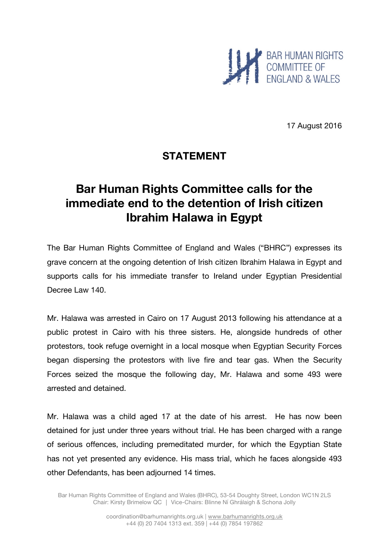

17 August 2016

# **STATEMENT**

# **Bar Human Rights Committee calls for the immediate end to the detention of Irish citizen Ibrahim Halawa in Egypt**

The Bar Human Rights Committee of England and Wales ("BHRC") expresses its grave concern at the ongoing detention of Irish citizen Ibrahim Halawa in Egypt and supports calls for his immediate transfer to Ireland under Egyptian Presidential Decree Law 140.

Mr. Halawa was arrested in Cairo on 17 August 2013 following his attendance at a public protest in Cairo with his three sisters. He, alongside hundreds of other protestors, took refuge overnight in a local mosque when Egyptian Security Forces began dispersing the protestors with live fire and tear gas. When the Security Forces seized the mosque the following day, Mr. Halawa and some 493 were arrested and detained.

Mr. Halawa was a child aged 17 at the date of his arrest. He has now been detained for just under three years without trial. He has been charged with a range of serious offences, including premeditated murder, for which the Egyptian State has not yet presented any evidence. His mass trial, which he faces alongside 493 other Defendants, has been adjourned 14 times.

Bar Human Rights Committee of England and Wales (BHRC), 53-54 Doughty Street, London WC1N 2LS Chair: Kirsty Brimelow QC │ Vice-Chairs: Blinne Ní Ghrálaigh & Schona Jolly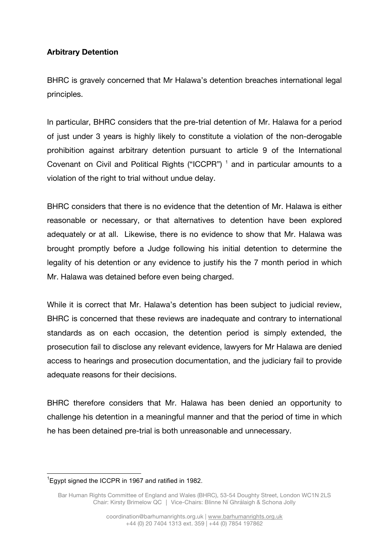## **Arbitrary Detention**

BHRC is gravely concerned that Mr Halawa's detention breaches international legal principles.

In particular, BHRC considers that the pre-trial detention of Mr. Halawa for a period of just under 3 years is highly likely to constitute a violation of the non-derogable prohibition against arbitrary detention pursuant to article 9 of the International Covenant on Civil and Political Rights ("ICCPR")<sup>1</sup> and in particular amounts to a violation of the right to trial without undue delay.

BHRC considers that there is no evidence that the detention of Mr. Halawa is either reasonable or necessary, or that alternatives to detention have been explored adequately or at all. Likewise, there is no evidence to show that Mr. Halawa was brought promptly before a Judge following his initial detention to determine the legality of his detention or any evidence to justify his the 7 month period in which Mr. Halawa was detained before even being charged.

While it is correct that Mr. Halawa's detention has been subject to judicial review, BHRC is concerned that these reviews are inadequate and contrary to international standards as on each occasion, the detention period is simply extended, the prosecution fail to disclose any relevant evidence, lawyers for Mr Halawa are denied access to hearings and prosecution documentation, and the judiciary fail to provide adequate reasons for their decisions.

BHRC therefore considers that Mr. Halawa has been denied an opportunity to challenge his detention in a meaningful manner and that the period of time in which he has been detained pre-trial is both unreasonable and unnecessary.

The magnom of the UCCPR in 1967 and ratified in 1982.

Bar Human Rights Committee of England and Wales (BHRC), 53-54 Doughty Street, London WC1N 2LS Chair: Kirsty Brimelow QC │ Vice-Chairs: Blinne Ní Ghrálaigh & Schona Jolly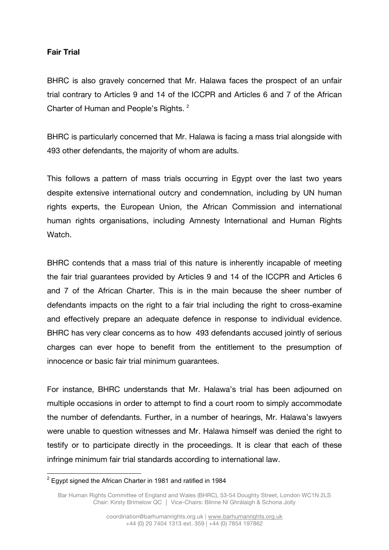### **Fair Trial**

BHRC is also gravely concerned that Mr. Halawa faces the prospect of an unfair trial contrary to Articles 9 and 14 of the ICCPR and Articles 6 and 7 of the African Charter of Human and People's Rights.<sup>2</sup>

BHRC is particularly concerned that Mr. Halawa is facing a mass trial alongside with 493 other defendants, the majority of whom are adults.

This follows a pattern of mass trials occurring in Egypt over the last two years despite extensive international outcry and condemnation, including by UN human rights experts, the European Union, the African Commission and international human rights organisations, including Amnesty International and Human Rights Watch.

BHRC contends that a mass trial of this nature is inherently incapable of meeting the fair trial guarantees provided by Articles 9 and 14 of the ICCPR and Articles 6 and 7 of the African Charter. This is in the main because the sheer number of defendants impacts on the right to a fair trial including the right to cross-examine and effectively prepare an adequate defence in response to individual evidence. BHRC has very clear concerns as to how 493 defendants accused jointly of serious charges can ever hope to benefit from the entitlement to the presumption of innocence or basic fair trial minimum guarantees.

For instance, BHRC understands that Mr. Halawa's trial has been adjourned on multiple occasions in order to attempt to find a court room to simply accommodate the number of defendants. Further, in a number of hearings, Mr. Halawa's lawyers were unable to question witnesses and Mr. Halawa himself was denied the right to testify or to participate directly in the proceedings. It is clear that each of these infringe minimum fair trial standards according to international law.

 $2$  Egypt signed the African Charter in 1981 and ratified in 1984

Bar Human Rights Committee of England and Wales (BHRC), 53-54 Doughty Street, London WC1N 2LS Chair: Kirsty Brimelow QC │ Vice-Chairs: Blinne Ní Ghrálaigh & Schona Jolly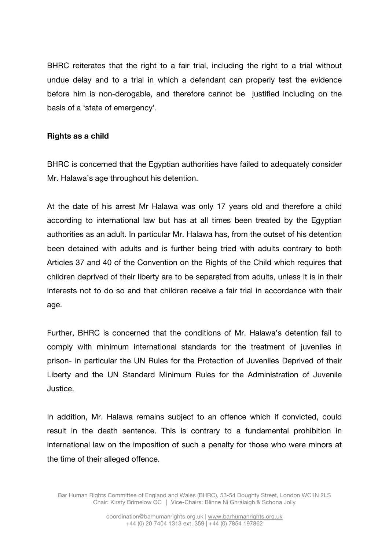BHRC reiterates that the right to a fair trial, including the right to a trial without undue delay and to a trial in which a defendant can properly test the evidence before him is non-derogable, and therefore cannot be justified including on the basis of a 'state of emergency'.

#### **Rights as a child**

BHRC is concerned that the Egyptian authorities have failed to adequately consider Mr. Halawa's age throughout his detention.

At the date of his arrest Mr Halawa was only 17 years old and therefore a child according to international law but has at all times been treated by the Egyptian authorities as an adult. In particular Mr. Halawa has, from the outset of his detention been detained with adults and is further being tried with adults contrary to both Articles 37 and 40 of the Convention on the Rights of the Child which requires that children deprived of their liberty are to be separated from adults, unless it is in their interests not to do so and that children receive a fair trial in accordance with their age.

Further, BHRC is concerned that the conditions of Mr. Halawa's detention fail to comply with minimum international standards for the treatment of juveniles in prison- in particular the UN Rules for the Protection of Juveniles Deprived of their Liberty and the UN Standard Minimum Rules for the Administration of Juvenile Justice.

In addition, Mr. Halawa remains subject to an offence which if convicted, could result in the death sentence. This is contrary to a fundamental prohibition in international law on the imposition of such a penalty for those who were minors at the time of their alleged offence.

Bar Human Rights Committee of England and Wales (BHRC), 53-54 Doughty Street, London WC1N 2LS Chair: Kirsty Brimelow QC │ Vice-Chairs: Blinne Ní Ghrálaigh & Schona Jolly